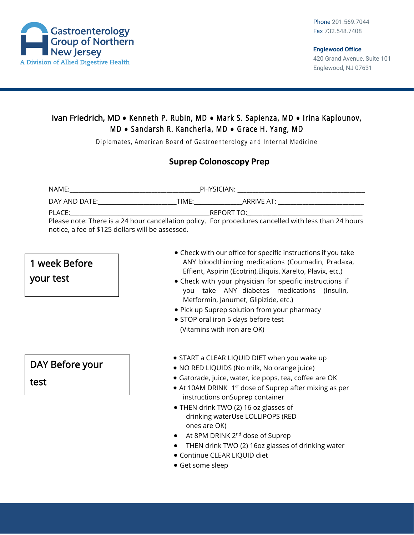

#### Ivan Friedrich, MD **●** Kenneth P. Rubin, MD **●** Mark S. Sapienza, MD **●** Irina Kaplounov, M D **●** Sandarsh R. Kancherla, MD **●** Grace H. Yang, MD

Diplomates, American Board of Gastroenterology and Internal Medicine

#### **Suprep Colonoscopy Prep**

| NAME:                                            | PHYSICIAN:                                                                                            |
|--------------------------------------------------|-------------------------------------------------------------------------------------------------------|
| DAY AND DATE:<br>TIME:                           | ARRIVE AT:                                                                                            |
| PLACE:                                           | REPORT TO:                                                                                            |
|                                                  | Please note: There is a 24 hour cancellation policy. For procedures cancelled with less than 24 hours |
| notice, a fee of \$125 dollars will be assessed. |                                                                                                       |

## 1 week Before

your test

# DAY Before your

test

- Check with our office for specific instructions if you take ANY bloodthinning medications (Coumadin, Pradaxa, Effient, Aspirin (Ecotrin),Eliquis, Xarelto, Plavix, etc.)
- Check with your physician for specific instructions if you take ANY diabetes medications (Insulin, Metformin, Janumet, Glipizide, etc.)
- Pick up Suprep solution from your pharmacy
- STOP oral iron 5 days before test (Vitamins with iron are OK)
- START a CLEAR LIQUID DIET when you wake up
- NO RED LIQUIDS (No milk, No orange juice)
- Gatorade, juice, water, ice pops, tea, coffee are OK
- $\bullet$  At 10AM DRINK 1<sup>st</sup> dose of Suprep after mixing as per instructions onSuprep container
- THEN drink TWO (2) 16 oz glasses of drinking waterUse LOLLIPOPS (RED ones are OK)
- At 8PM DRINK 2<sup>nd</sup> dose of Suprep
- THEN drink TWO (2) 16oz glasses of drinking water
- Continue CLEAR LIQUID diet
- Get some sleep